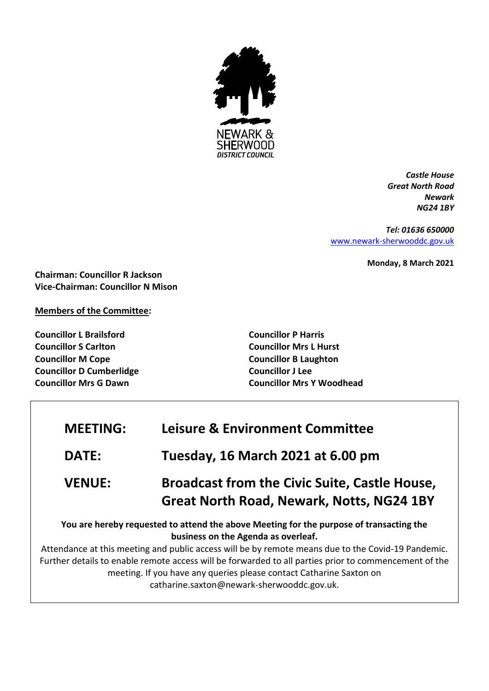

*Castle House Great North Road Newark NG24 1BY*

*Tel: 01636 650000* [www.newark-sherwooddc.gov.uk](http://www.newark-sherwooddc.gov.uk/)

**Monday, 8 March 2021**

**Chairman: Councillor R Jackson Vice-Chairman: Councillor N Mison**

**Members of the Committee:**

**Councillor L Brailsford Councillor S Carlton Councillor M Cope Councillor D Cumberlidge Councillor Mrs G Dawn**

**Councillor P Harris Councillor Mrs L Hurst Councillor B Laughton Councillor J Lee Councillor Mrs Y Woodhead**

| <b>MEETING:</b> | <b>Leisure &amp; Environment Committee</b>                                                                                                                                                                                                                                                                                                                                                                                                                         |
|-----------------|--------------------------------------------------------------------------------------------------------------------------------------------------------------------------------------------------------------------------------------------------------------------------------------------------------------------------------------------------------------------------------------------------------------------------------------------------------------------|
| DATE:           | <b>Tuesday, 16 March 2021 at 6.00 pm</b>                                                                                                                                                                                                                                                                                                                                                                                                                           |
| <b>VENUE:</b>   | <b>Broadcast from the Civic Suite, Castle House,</b><br><b>Great North Road, Newark, Notts, NG24 1BY</b>                                                                                                                                                                                                                                                                                                                                                           |
|                 | You are hereby requested to attend the above Meeting for the purpose of transacting the<br>business on the Agenda as overleaf.<br>Attendance at this meeting and public access will be by remote means due to the Covid-19 Pandemic.<br>Further details to enable remote access will be forwarded to all parties prior to commencement of the<br>meeting. If you have any queries please contact Catharine Saxton on<br>catharine.saxton@newark-sherwooddc.gov.uk. |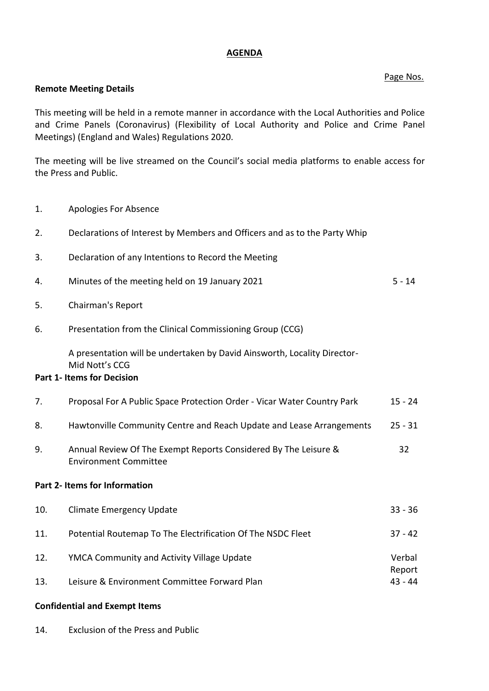## **AGENDA**

## Page Nos.

## **Remote Meeting Details**

This meeting will be held in a remote manner in accordance with the Local Authorities and Police and Crime Panels (Coronavirus) (Flexibility of Local Authority and Police and Crime Panel Meetings) (England and Wales) Regulations 2020.

The meeting will be live streamed on the Council's social media platforms to enable access for the Press and Public.

1. Apologies For Absence

| 2.                            | Declarations of Interest by Members and Officers and as to the Party Whip                                                       |                     |  |
|-------------------------------|---------------------------------------------------------------------------------------------------------------------------------|---------------------|--|
| 3.                            | Declaration of any Intentions to Record the Meeting                                                                             |                     |  |
| 4.                            | Minutes of the meeting held on 19 January 2021                                                                                  | $5 - 14$            |  |
| 5.                            | Chairman's Report                                                                                                               |                     |  |
| 6.                            | Presentation from the Clinical Commissioning Group (CCG)                                                                        |                     |  |
|                               | A presentation will be undertaken by David Ainsworth, Locality Director-<br>Mid Nott's CCG<br><b>Part 1- Items for Decision</b> |                     |  |
|                               |                                                                                                                                 |                     |  |
| 7.                            | Proposal For A Public Space Protection Order - Vicar Water Country Park                                                         | $15 - 24$           |  |
| 8.                            | Hawtonville Community Centre and Reach Update and Lease Arrangements                                                            | $25 - 31$           |  |
| 9.                            | Annual Review Of The Exempt Reports Considered By The Leisure &<br><b>Environment Committee</b>                                 | 32                  |  |
| Part 2- Items for Information |                                                                                                                                 |                     |  |
| 10.                           | <b>Climate Emergency Update</b>                                                                                                 | $33 - 36$           |  |
| 11.                           | Potential Routemap To The Electrification Of The NSDC Fleet                                                                     | $37 - 42$           |  |
| 12.                           | YMCA Community and Activity Village Update                                                                                      |                     |  |
| 13.                           | Leisure & Environment Committee Forward Plan                                                                                    | Report<br>$43 - 44$ |  |

## **Confidential and Exempt Items**

14. Exclusion of the Press and Public